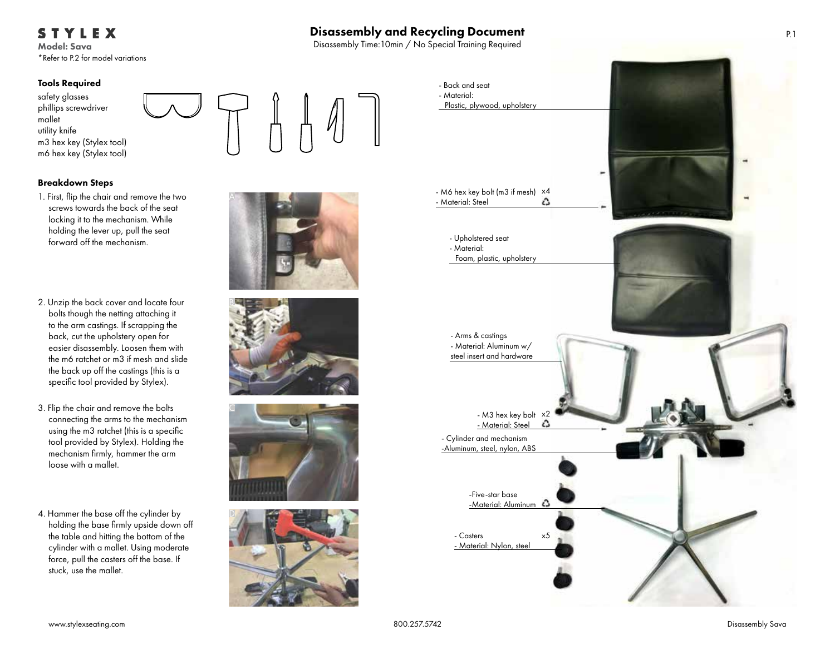# STYLEX

Model: Sava \*Refer to P.2 for model variations

## Tools Required

safety glasses phillips screwdriver mallet utility knife m3 hex key (Stylex tool) m6 hex key (Stylex tool)

## Breakdown Steps

- 1. First, flip the chair and remove the two screws towards the back of the seat locking it to the mechanism. While holding the lever up, pull the seat forward off the mechanism.
- 2. Unzip the back cover and locate four bolts though the netting attaching it to the arm castings. If scrapping the back, cut the upholstery open for easier disassembly. Loosen them with the m6 ratchet or m3 if mesh and slide the back up off the castings (this is a specific tool provided by Stylex).
- 3. Flip the chair and remove the bolts connecting the arms to the mechanism using the m3 ratchet (this is a specific tool provided by Stylex). Holding the mechanism firmly, hammer the arm loose with a mallet.
- 4. Hammer the base off the cylinder by holding the base firmly upside down off the table and hitting the bottom of the cylinder with a mallet. Using moderate force, pull the casters off the base. If stuck, use the mallet.











Disassembly and Recycling Document